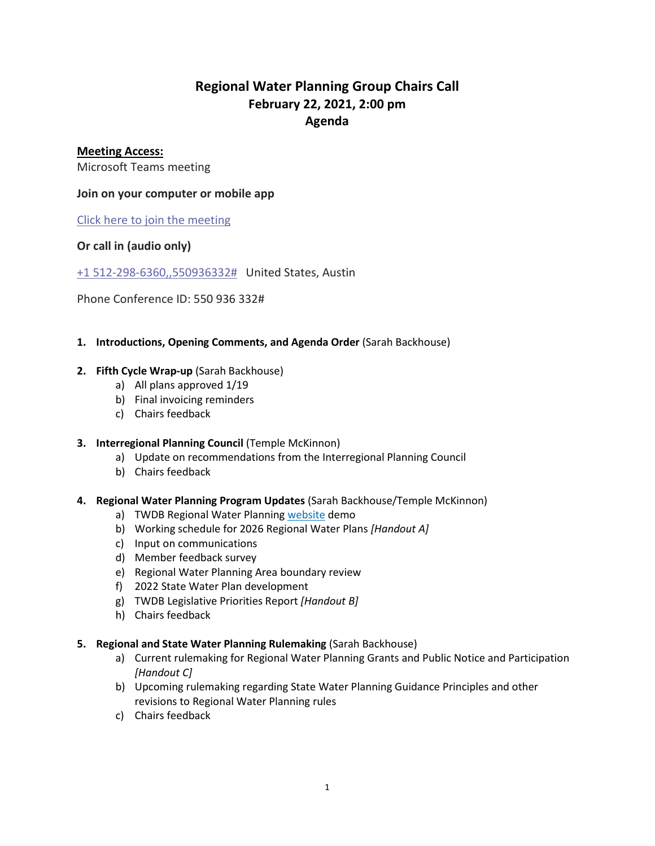# **Regional Water Planning Group Chairs Call February 22, 2021, 2:00 pm Agenda**

### **Meeting Access:**

Microsoft Teams meeting

### **Join on your computer or mobile app**

[Click here to join the meeting](https://teams.microsoft.com/l/meetup-join/19%3ameeting_Y2Q0NGE4MTItMTAxMy00YzQwLThmZjctNzMwOTdjMDBmNjRl%40thread.v2/0?context=%7b%22Tid%22%3a%227ad04e8c-92f5-4b20-81d6-10fd88325899%22%2c%22Oid%22%3a%229c0e028a-6578-40d5-ba3f-818ea479d337%22%7d)

## **Or call in (audio only)**

[+1 512-298-6360,,550936332#](tel:+15122986360,,550936332#%20) United States, Austin

Phone Conference ID: 550 936 332#

**1. Introductions, Opening Comments, and Agenda Order** (Sarah Backhouse)

#### **2. Fifth Cycle Wrap-up** (Sarah Backhouse)

- a) All plans approved 1/19
- b) Final invoicing reminders
- c) Chairs feedback

#### **3. Interregional Planning Council** (Temple McKinnon)

- a) Update on recommendations from the Interregional Planning Council
- b) Chairs feedback
- **4. Regional Water Planning Program Updates** (Sarah Backhouse/Temple McKinnon)
	- a) TWDB Regional Water Planning [website](https://www.twdb.texas.gov/waterplanning/rwp/planningdocu/2026/index.asp) demo
	- b) Working schedule for 2026 Regional Water Plans *[Handout A]*
	- c) Input on communications
	- d) Member feedback survey
	- e) Regional Water Planning Area boundary review
	- f) 2022 State Water Plan development
	- g) TWDB Legislative Priorities Report *[Handout B]*
	- h) Chairs feedback
- **5. Regional and State Water Planning Rulemaking** (Sarah Backhouse)
	- a) Current rulemaking for Regional Water Planning Grants and Public Notice and Participation *[Handout C]*
	- b) Upcoming rulemaking regarding State Water Planning Guidance Principles and other revisions to Regional Water Planning rules
	- c) Chairs feedback